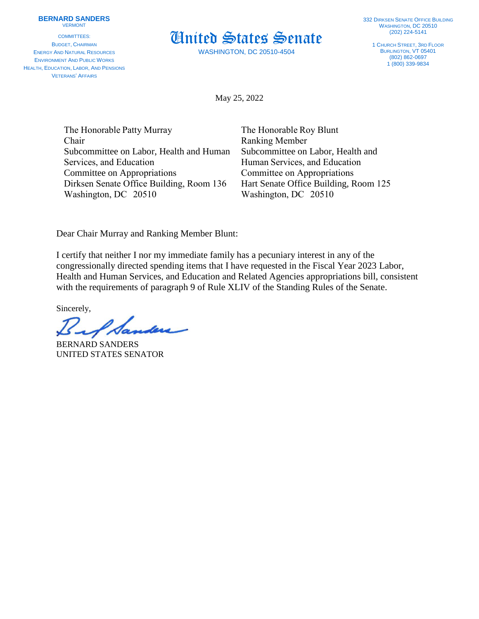## **BERNARD SANDERS** VERMONT

COMMITTEES: BUDGET, CHAIRMAN ENERGY AND NATURAL RESOURCES ENVIRONMENT AND PUBLIC WORKS HEALTH, EDUCATION, LABOR, AND PENSIONS VETERANS' AFFAIRS

United States Senate

WASHINGTON, DC 20510-4504

1 CHURCH STREET, 3RD FLOOR BURLINGTON, VT 05401 (802) 862-0697  $1(800)$  339-9834

May 25, 2022

| The Honorable Patty Murray               | The Honorable Roy Blunt               |
|------------------------------------------|---------------------------------------|
| Chair                                    | <b>Ranking Member</b>                 |
| Subcommittee on Labor, Health and Human  | Subcommittee on Labor, Health and     |
| Services, and Education                  | Human Services, and Education         |
| Committee on Appropriations              | Committee on Appropriations           |
| Dirksen Senate Office Building, Room 136 | Hart Senate Office Building, Room 125 |
| Washington, DC 20510                     | Washington, DC 20510                  |

Dear Chair Murray and Ranking Member Blunt:

I certify that neither I nor my immediate family has a pecuniary interest in any of the congressionally directed spending items that I have requested in the Fiscal Year 2023 Labor, Health and Human Services, and Education and Related Agencies appropriations bill, consistent with the requirements of paragraph 9 of Rule XLIV of the Standing Rules of the Senate.

Sincerely,

BERNARD SANDERS UNITED STATES SENATOR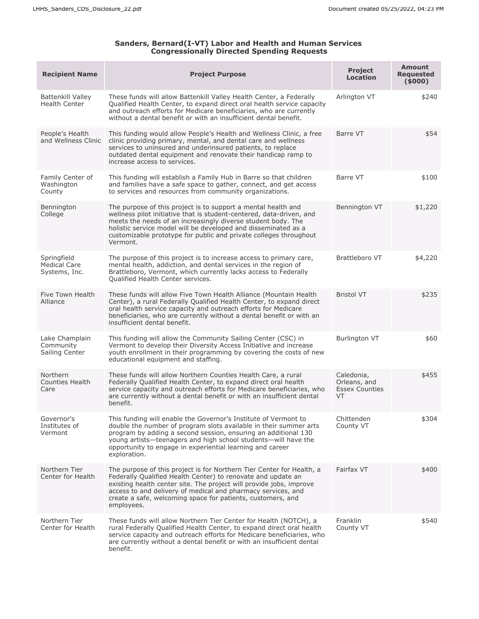## **Sanders, Bernard(I-VT) Labor and Health and Human Services Congressionally Directed Spending Requests**

| <b>Recipient Name</b>                               | <b>Project Purpose</b>                                                                                                                                                                                                                                                                                                                                    | <b>Project</b><br>Location                                 | Amount<br><b>Requested</b><br>(5000) |
|-----------------------------------------------------|-----------------------------------------------------------------------------------------------------------------------------------------------------------------------------------------------------------------------------------------------------------------------------------------------------------------------------------------------------------|------------------------------------------------------------|--------------------------------------|
| Battenkill Valley<br><b>Health Center</b>           | These funds will allow Battenkill Valley Health Center, a Federally<br>Qualified Health Center, to expand direct oral health service capacity<br>and outreach efforts for Medicare beneficiaries, who are currently<br>without a dental benefit or with an insufficient dental benefit.                                                                   | Arlington VT                                               | \$240                                |
| People's Health<br>and Wellness Clinic              | This funding would allow People's Health and Wellness Clinic, a free<br>clinic providing primary, mental, and dental care and wellness<br>services to uninsured and underinsured patients, to replace<br>outdated dental equipment and renovate their handicap ramp to<br>increase access to services.                                                    | Barre VT                                                   | \$54                                 |
| Family Center of<br>Washington<br>County            | This funding will establish a Family Hub in Barre so that children<br>and families have a safe space to gather, connect, and get access<br>to services and resources from community organizations.                                                                                                                                                        | Barre VT                                                   | \$100                                |
| Bennington<br>College                               | The purpose of this project is to support a mental health and<br>wellness pilot initiative that is student-centered, data-driven, and<br>meets the needs of an increasingly diverse student body. The<br>holistic service model will be developed and disseminated as a<br>customizable prototype for public and private colleges throughout<br>Vermont.  | Bennington VT                                              | \$1,220                              |
| Springfield<br><b>Medical Care</b><br>Systems, Inc. | The purpose of this project is to increase access to primary care,<br>mental health, addiction, and dental services in the region of<br>Brattleboro, Vermont, which currently lacks access to Federally<br><b>Oualified Health Center services.</b>                                                                                                       | Brattleboro VT                                             | \$4,220                              |
| Five Town Health<br>Alliance                        | These funds will allow Five Town Health Alliance (Mountain Health<br>Center), a rural Federally Qualified Health Center, to expand direct<br>oral health service capacity and outreach efforts for Medicare<br>beneficiaries, who are currently without a dental benefit or with an<br>insufficient dental benefit.                                       | <b>Bristol VT</b>                                          | \$235                                |
| Lake Champlain<br>Community<br>Sailing Center       | This funding will allow the Community Sailing Center (CSC) in<br>Vermont to develop their Diversity Access Initiative and increase<br>youth enrollment in their programming by covering the costs of new<br>educational equipment and staffing.                                                                                                           | <b>Burlington VT</b>                                       | \$60                                 |
| Northern<br>Counties Health<br>Care                 | These funds will allow Northern Counties Health Care, a rural<br>Federally Qualified Health Center, to expand direct oral health<br>service capacity and outreach efforts for Medicare beneficiaries, who<br>are currently without a dental benefit or with an insufficient dental<br>benefit.                                                            | Caledonia,<br>Orleans, and<br><b>Essex Counties</b><br>VT. | \$455                                |
| Governor's<br>Institutes of<br>Vermont              | This funding will enable the Governor's Institute of Vermont to<br>double the number of program slots available in their summer arts<br>program by adding a second session, ensuring an additional 130<br>young artists-teenagers and high school students-will have the<br>opportunity to engage in experiential learning and career<br>exploration.     | Chittenden<br>County VT                                    | \$304                                |
| Northern Tier<br>Center for Health                  | The purpose of this project is for Northern Tier Center for Health, a<br>Federally Qualified Health Center) to renovate and update an<br>existing health center site. The project will provide jobs, improve<br>access to and delivery of medical and pharmacy services, and<br>create a safe, welcoming space for patients, customers, and<br>employees. | Fairfax VT                                                 | \$400                                |
| Northern Tier<br>Center for Health                  | These funds will allow Northern Tier Center for Health (NOTCH), a<br>rural Federally Qualified Health Center, to expand direct oral health<br>service capacity and outreach efforts for Medicare beneficiaries, who<br>are currently without a dental benefit or with an insufficient dental<br>benefit.                                                  | Franklin<br>County VT                                      | \$540                                |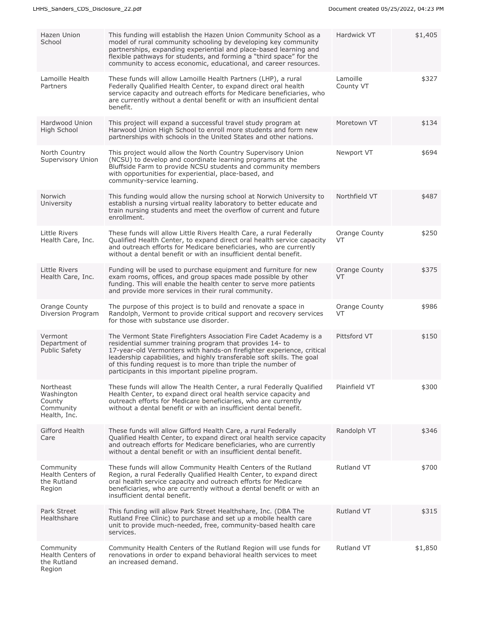| Hazen Union<br>School                                          | This funding will establish the Hazen Union Community School as a<br>model of rural community schooling by developing key community<br>partnerships, expanding experiential and place-based learning and<br>flexible pathways for students, and forming a "third space" for the<br>community to access economic, educational, and career resources.                                                   | Hardwick VT           | \$1,405 |
|----------------------------------------------------------------|-------------------------------------------------------------------------------------------------------------------------------------------------------------------------------------------------------------------------------------------------------------------------------------------------------------------------------------------------------------------------------------------------------|-----------------------|---------|
| Lamoille Health<br>Partners                                    | These funds will allow Lamoille Health Partners (LHP), a rural<br>Federally Qualified Health Center, to expand direct oral health<br>service capacity and outreach efforts for Medicare beneficiaries, who<br>are currently without a dental benefit or with an insufficient dental<br>benefit.                                                                                                       | Lamoille<br>County VT | \$327   |
| Hardwood Union<br>High School                                  | This project will expand a successful travel study program at<br>Harwood Union High School to enroll more students and form new<br>partnerships with schools in the United States and other nations.                                                                                                                                                                                                  | Moretown VT           | \$134   |
| North Country<br>Supervisory Union                             | This project would allow the North Country Supervisory Union<br>(NCSU) to develop and coordinate learning programs at the<br>Bluffside Farm to provide NCSU students and community members<br>with opportunities for experiential, place-based, and<br>community-service learning.                                                                                                                    | Newport VT            | \$694   |
| Norwich<br>University                                          | This funding would allow the nursing school at Norwich University to<br>establish a nursing virtual reality laboratory to better educate and<br>train nursing students and meet the overflow of current and future<br>enrollment.                                                                                                                                                                     | Northfield VT         | \$487   |
| Little Rivers<br>Health Care, Inc.                             | These funds will allow Little Rivers Health Care, a rural Federally<br>Qualified Health Center, to expand direct oral health service capacity<br>and outreach efforts for Medicare beneficiaries, who are currently<br>without a dental benefit or with an insufficient dental benefit.                                                                                                               | Orange County<br>VT   | \$250   |
| Little Rivers<br>Health Care, Inc.                             | Funding will be used to purchase equipment and furniture for new<br>exam rooms, offices, and group spaces made possible by other<br>funding. This will enable the health center to serve more patients<br>and provide more services in their rural community.                                                                                                                                         | Orange County<br>VT   | \$375   |
| Orange County<br>Diversion Program                             | The purpose of this project is to build and renovate a space in<br>Randolph, Vermont to provide critical support and recovery services<br>for those with substance use disorder.                                                                                                                                                                                                                      | Orange County<br>VT   | \$986   |
| Vermont<br>Department of<br><b>Public Safety</b>               | The Vermont State Firefighters Association Fire Cadet Academy is a<br>residential summer training program that provides 14- to<br>17-year-old Vermonters with hands-on firefighter experience, critical<br>leadership capabilities, and highly transferable soft skills. The goal<br>of this funding request is to more than triple the number of<br>participants in this important pipeline program. | Pittsford VT          | \$150   |
| Northeast<br>Washington<br>County<br>Community<br>Health, Inc. | These funds will allow The Health Center, a rural Federally Qualified<br>Health Center, to expand direct oral health service capacity and<br>outreach efforts for Medicare beneficiaries, who are currently<br>without a dental benefit or with an insufficient dental benefit.                                                                                                                       | Plainfield VT         | \$300   |
| Gifford Health<br>Care                                         | These funds will allow Gifford Health Care, a rural Federally<br>Qualified Health Center, to expand direct oral health service capacity<br>and outreach efforts for Medicare beneficiaries, who are currently<br>without a dental benefit or with an insufficient dental benefit.                                                                                                                     | Randolph VT           | \$346   |
| Community<br>Health Centers of<br>the Rutland<br>Region        | These funds will allow Community Health Centers of the Rutland<br>Region, a rural Federally Qualified Health Center, to expand direct<br>oral health service capacity and outreach efforts for Medicare<br>beneficiaries, who are currently without a dental benefit or with an<br>insufficient dental benefit.                                                                                       | Rutland VT            | \$700   |
| Park Street<br>Healthshare                                     | This funding will allow Park Street Healthshare, Inc. (DBA The<br>Rutland Free Clinic) to purchase and set up a mobile health care<br>unit to provide much-needed, free, community-based health care<br>services.                                                                                                                                                                                     | <b>Rutland VT</b>     | \$315   |
| Community<br>Health Centers of<br>the Rutland<br>Region        | Community Health Centers of the Rutland Region will use funds for<br>renovations in order to expand behavioral health services to meet<br>an increased demand.                                                                                                                                                                                                                                        | Rutland VT            | \$1,850 |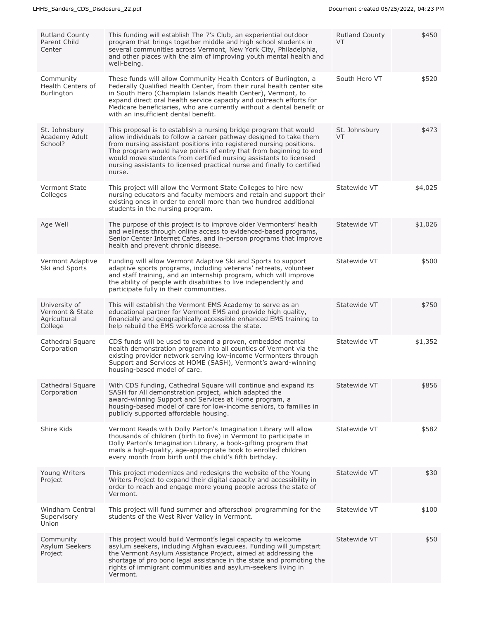| <b>Rutland County</b><br>Parent Child<br>Center             | This funding will establish The 7's Club, an experiential outdoor<br>program that brings together middle and high school students in<br>several communities across Vermont, New York City, Philadelphia,<br>and other places with the aim of improving youth mental health and<br>well-being.                                                                                                                                                 | <b>Rutland County</b><br>VT | \$450   |
|-------------------------------------------------------------|-----------------------------------------------------------------------------------------------------------------------------------------------------------------------------------------------------------------------------------------------------------------------------------------------------------------------------------------------------------------------------------------------------------------------------------------------|-----------------------------|---------|
| Community<br>Health Centers of<br>Burlington                | These funds will allow Community Health Centers of Burlington, a<br>Federally Qualified Health Center, from their rural health center site<br>in South Hero (Champlain Islands Health Center), Vermont, to<br>expand direct oral health service capacity and outreach efforts for<br>Medicare beneficiaries, who are currently without a dental benefit or<br>with an insufficient dental benefit.                                            | South Hero VT               | \$520   |
| St. Johnsbury<br>Academy Adult<br>School?                   | This proposal is to establish a nursing bridge program that would<br>allow individuals to follow a career pathway designed to take them<br>from nursing assistant positions into registered nursing positions.<br>The program would have points of entry that from beginning to end<br>would move students from certified nursing assistants to licensed<br>nursing assistants to licensed practical nurse and finally to certified<br>nurse. | St. Johnsbury<br>VT         | \$473   |
| Vermont State<br>Colleges                                   | This project will allow the Vermont State Colleges to hire new<br>nursing educators and faculty members and retain and support their<br>existing ones in order to enroll more than two hundred additional<br>students in the nursing program.                                                                                                                                                                                                 | Statewide VT                | \$4,025 |
| Age Well                                                    | The purpose of this project is to improve older Vermonters' health<br>and wellness through online access to evidenced-based programs,<br>Senior Center Internet Cafes, and in-person programs that improve<br>health and prevent chronic disease.                                                                                                                                                                                             | Statewide VT                | \$1,026 |
| Vermont Adaptive<br>Ski and Sports                          | Funding will allow Vermont Adaptive Ski and Sports to support<br>adaptive sports programs, including veterans' retreats, volunteer<br>and staff training, and an internship program, which will improve<br>the ability of people with disabilities to live independently and<br>participate fully in their communities.                                                                                                                       | Statewide VT                | \$500   |
| University of<br>Vermont & State<br>Agricultural<br>College | This will establish the Vermont EMS Academy to serve as an<br>educational partner for Vermont EMS and provide high quality,<br>financially and geographically accessible enhanced EMS training to<br>help rebuild the EMS workforce across the state.                                                                                                                                                                                         | Statewide VT                | \$750   |
| Cathedral Square<br>Corporation                             | CDS funds will be used to expand a proven, embedded mental<br>health demonstration program into all counties of Vermont via the<br>existing provider network serving low-income Vermonters through<br>Support and Services at HOME (SASH), Vermont's award-winning<br>housing-based model of care.                                                                                                                                            | Statewide VT                | \$1,352 |
| Cathedral Square<br>Corporation                             | With CDS funding, Cathedral Square will continue and expand its<br>SASH for All demonstration project, which adapted the<br>award-winning Support and Services at Home program, a<br>housing-based model of care for low-income seniors, to families in<br>publicly supported affordable housing.                                                                                                                                             | Statewide VT                | \$856   |
| Shire Kids                                                  | Vermont Reads with Dolly Parton's Imagination Library will allow<br>thousands of children (birth to five) in Vermont to participate in<br>Dolly Parton's Imagination Library, a book-gifting program that<br>mails a high-quality, age-appropriate book to enrolled children<br>every month from birth until the child's fifth birthday.                                                                                                      | Statewide VT                | \$582   |
| Young Writers<br>Project                                    | This project modernizes and redesigns the website of the Young<br>Writers Project to expand their digital capacity and accessibility in<br>order to reach and engage more young people across the state of<br>Vermont.                                                                                                                                                                                                                        | Statewide VT                | \$30    |
| Windham Central<br>Supervisory<br>Union                     | This project will fund summer and afterschool programming for the<br>students of the West River Valley in Vermont.                                                                                                                                                                                                                                                                                                                            | Statewide VT                | \$100   |
| Community<br>Asylum Seekers<br>Project                      | This project would build Vermont's legal capacity to welcome<br>asylum seekers, including Afghan evacuees. Funding will jumpstart<br>the Vermont Asylum Assistance Project, aimed at addressing the<br>shortage of pro bono legal assistance in the state and promoting the<br>rights of immigrant communities and asylum-seekers living in<br>Vermont.                                                                                       | Statewide VT                | \$50    |
|                                                             |                                                                                                                                                                                                                                                                                                                                                                                                                                               |                             |         |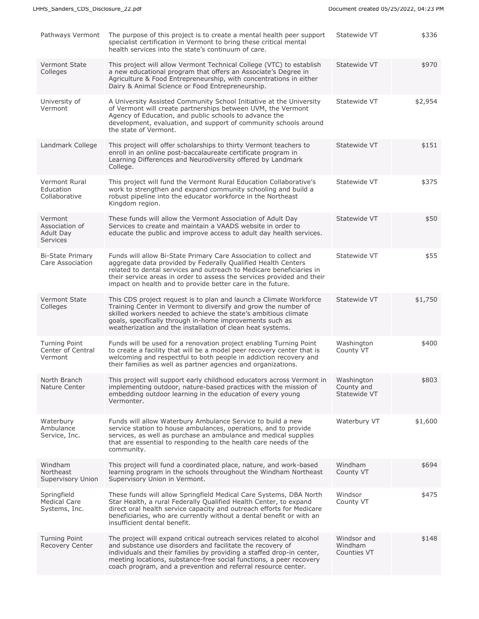| Pathways Vermont                                          | The purpose of this project is to create a mental health peer support<br>specialist certification in Vermont to bring these critical mental<br>health services into the state's continuum of care.                                                                                                                                                   | Statewide VT                             | \$336   |
|-----------------------------------------------------------|------------------------------------------------------------------------------------------------------------------------------------------------------------------------------------------------------------------------------------------------------------------------------------------------------------------------------------------------------|------------------------------------------|---------|
| <b>Vermont State</b><br>Colleges                          | This project will allow Vermont Technical College (VTC) to establish<br>a new educational program that offers an Associate's Degree in<br>Agriculture & Food Entrepreneurship, with concentrations in either<br>Dairy & Animal Science or Food Entrepreneurship.                                                                                     | Statewide VT                             | \$970   |
| University of<br>Vermont                                  | A University Assisted Community School Initiative at the University<br>of Vermont will create partnerships between UVM, the Vermont<br>Agency of Education, and public schools to advance the<br>development, evaluation, and support of community schools around<br>the state of Vermont.                                                           | Statewide VT                             | \$2,954 |
| Landmark College                                          | This project will offer scholarships to thirty Vermont teachers to<br>enroll in an online post-baccalaureate certificate program in<br>Learning Differences and Neurodiversity offered by Landmark<br>College.                                                                                                                                       | Statewide VT                             | \$151   |
| Vermont Rural<br>Education<br>Collaborative               | This project will fund the Vermont Rural Education Collaborative's<br>work to strengthen and expand community schooling and build a<br>robust pipeline into the educator workforce in the Northeast<br>Kingdom region.                                                                                                                               | Statewide VT                             | \$375   |
| Vermont<br>Association of<br>Adult Day<br><b>Services</b> | These funds will allow the Vermont Association of Adult Day<br>Services to create and maintain a VAADS website in order to<br>educate the public and improve access to adult day health services.                                                                                                                                                    | Statewide VT                             | \$50    |
| <b>Bi-State Primary</b><br>Care Association               | Funds will allow Bi-State Primary Care Association to collect and<br>aggregate data provided by Federally Qualified Health Centers<br>related to dental services and outreach to Medicare beneficiaries in<br>their service areas in order to assess the services provided and their<br>impact on health and to provide better care in the future.   | Statewide VT                             | \$55    |
| <b>Vermont State</b><br>Colleges                          | This CDS project request is to plan and launch a Climate Workforce<br>Training Center in Vermont to diversify and grow the number of<br>skilled workers needed to achieve the state's ambitious climate<br>goals, specifically through in-home improvements such as<br>weatherization and the installation of clean heat systems.                    | Statewide VT                             | \$1,750 |
| <b>Turning Point</b><br>Center of Central<br>Vermont      | Funds will be used for a renovation project enabling Turning Point<br>to create a facility that will be a model peer recovery center that is<br>welcoming and respectful to both people in addiction recovery and<br>their families as well as partner agencies and organizations.                                                                   | Washington<br>County VT                  | \$400   |
| North Branch<br>Nature Center                             | This project will support early childhood educators across Vermont in<br>implementing outdoor, nature-based practices with the mission of<br>embedding outdoor learning in the education of every young<br>Vermonter.                                                                                                                                | Washington<br>County and<br>Statewide VT | \$803   |
| Waterbury<br>Ambulance<br>Service, Inc.                   | Funds will allow Waterbury Ambulance Service to build a new<br>service station to house ambulances, operations, and to provide<br>services, as well as purchase an ambulance and medical supplies<br>that are essential to responding to the health care needs of the<br>community.                                                                  | Waterbury VT                             | \$1,600 |
| Windham<br>Northeast<br>Supervisory Union                 | This project will fund a coordinated place, nature, and work-based<br>learning program in the schools throughout the Windham Northeast<br>Supervisory Union in Vermont.                                                                                                                                                                              | Windham<br>County VT                     | \$694   |
| Springfield<br><b>Medical Care</b><br>Systems, Inc.       | These funds will allow Springfield Medical Care Systems, DBA North<br>Star Health, a rural Federally Qualified Health Center, to expand<br>direct oral health service capacity and outreach efforts for Medicare<br>beneficiaries, who are currently without a dental benefit or with an<br>insufficient dental benefit.                             | Windsor<br>County VT                     | \$475   |
| <b>Turning Point</b><br>Recovery Center                   | The project will expand critical outreach services related to alcohol<br>and substance use disorders and facilitate the recovery of<br>individuals and their families by providing a staffed drop-in center,<br>meeting locations, substance-free social functions, a peer recovery<br>coach program, and a prevention and referral resource center. | Windsor and<br>Windham<br>Counties VT    | \$148   |